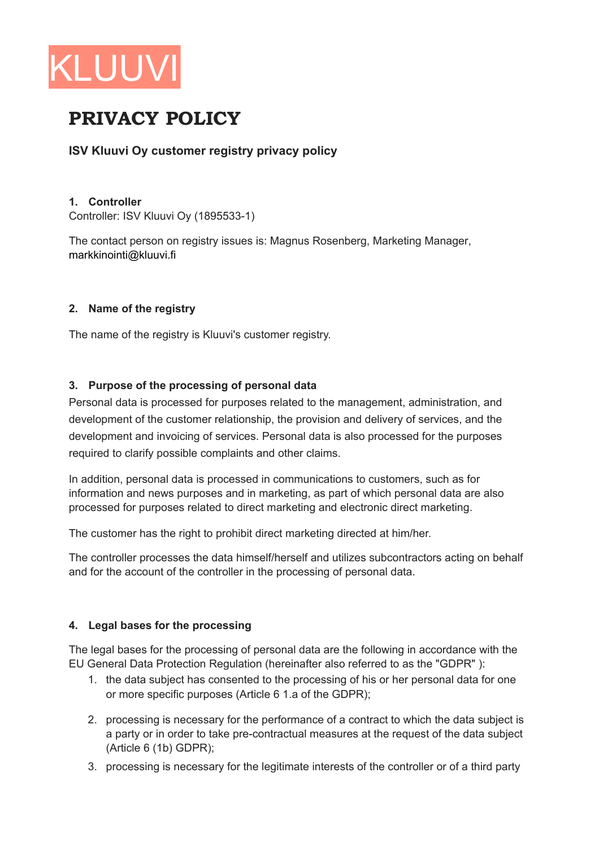

# PRIVACY POLICY

# ISV Kluuvi Oy customer registry privacy policy

### 1. Controller

Controller: ISV Kluuvi Ov (1895533-1)

The contact person on registry issues is: Magnus Rosenberg, Marketing Manager, markkinointi@kluuvi.fi

## 2. Name of the registry

The name of the registry is Kluuvi's customer registry.

# 3. Purpose of the processing of personal data

Personal data is processed for purposes related to the management, administration, and development of the customer relationship, the provision and delivery of services, and the development and invoicing of services. Personal data is also processed for the purposes required to clarify possible complaints and other claims.

In addition, personal data is processed in communications to customers, such as for information and news purposes and in marketing, as part of which personal data are also processed for purposes related to direct marketing and electronic direct marketing.

The customer has the right to prohibit direct marketing directed at him/her.

The controller processes the data himself/herself and utilizes subcontractors acting on behalf and for the account of the controller in the processing of personal data.

# 4. Legal bases for the processing

The legal bases for the processing of personal data are the following in accordance with the EU General Data Protection Regulation (hereinafter also referred to as the "GDPR"):

- 1. the data subject has consented to the processing of his or her personal data for one or more specific purposes (Article 6 1.a of the GDPR);
- 2. processing is necessary for the performance of a contract to which the data subject is a party or in order to take pre-contractual measures at the request of the data subject  $(Article 6 (1b) GDPR);$
- 3. processing is necessary for the legitimate interests of the controller or of a third party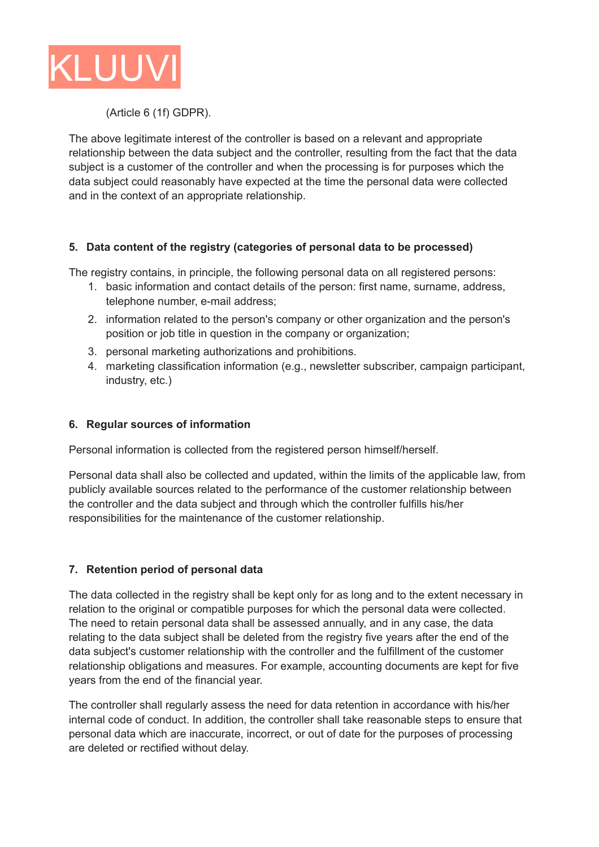

## (Article 6 (1f) GDPR).

The above legitimate interest of the controller is based on a relevant and appropriate relationship between the data subject and the controller, resulting from the fact that the data subject is a customer of the controller and when the processing is for purposes which the data subject could reasonably have expected at the time the personal data were collected and in the context of an appropriate relationship.

## **5. Data content of the registry (categories of personal data to be processed)**

The registry contains, in principle, the following personal data on all registered persons:

- 1. basic information and contact details of the person: first name, surname, address, telephone number, e-mail address;
- 2. information related to the person's company or other organization and the person's position or job title in question in the company or organization;
- 3. personal marketing authorizations and prohibitions.
- 4. marketing classification information (e.g., newsletter subscriber, campaign participant, industry, etc.)

#### **6. Regular sources of information**

Personal information is collected from the registered person himself/herself.

Personal data shall also be collected and updated, within the limits of the applicable law, from publicly available sources related to the performance of the customer relationship between the controller and the data subject and through which the controller fulfills his/her responsibilities for the maintenance of the customer relationship.

#### **7. Retention period of personal data**

The data collected in the registry shall be kept only for as long and to the extent necessary in relation to the original or compatible purposes for which the personal data were collected. The need to retain personal data shall be assessed annually, and in any case, the data relating to the data subject shall be deleted from the registry five years after the end of the data subject's customer relationship with the controller and the fulfillment of the customer relationship obligations and measures. For example, accounting documents are kept for five years from the end of the financial year.

The controller shall regularly assess the need for data retention in accordance with his/her internal code of conduct. In addition, the controller shall take reasonable steps to ensure that personal data which are inaccurate, incorrect, or out of date for the purposes of processing are deleted or rectified without delay.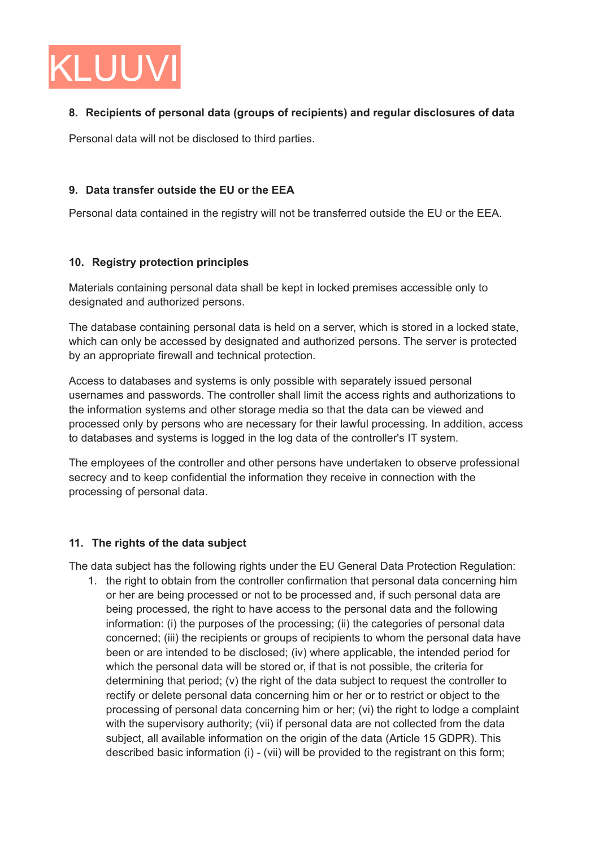

# **8. Recipients of personal data (groups of recipients) and regular disclosures of data**

Personal data will not be disclosed to third parties.

## **9. Data transfer outside the EU or the EEA**

Personal data contained in the registry will not be transferred outside the EU or the EEA.

## **10. Registry protection principles**

Materials containing personal data shall be kept in locked premises accessible only to designated and authorized persons.

The database containing personal data is held on a server, which is stored in a locked state, which can only be accessed by designated and authorized persons. The server is protected by an appropriate firewall and technical protection.

Access to databases and systems is only possible with separately issued personal usernames and passwords. The controller shall limit the access rights and authorizations to the information systems and other storage media so that the data can be viewed and processed only by persons who are necessary for their lawful processing. In addition, access to databases and systems is logged in the log data of the controller's IT system.

The employees of the controller and other persons have undertaken to observe professional secrecy and to keep confidential the information they receive in connection with the processing of personal data.

# **11. The rights of the data subject**

The data subject has the following rights under the EU General Data Protection Regulation:

1. the right to obtain from the controller confirmation that personal data concerning him or her are being processed or not to be processed and, if such personal data are being processed, the right to have access to the personal data and the following information: (i) the purposes of the processing; (ii) the categories of personal data concerned; (iii) the recipients or groups of recipients to whom the personal data have been or are intended to be disclosed; (iv) where applicable, the intended period for which the personal data will be stored or, if that is not possible, the criteria for determining that period; (v) the right of the data subject to request the controller to rectify or delete personal data concerning him or her or to restrict or object to the processing of personal data concerning him or her; (vi) the right to lodge a complaint with the supervisory authority; (vii) if personal data are not collected from the data subject, all available information on the origin of the data (Article 15 GDPR). This described basic information (i) - (vii) will be provided to the registrant on this form;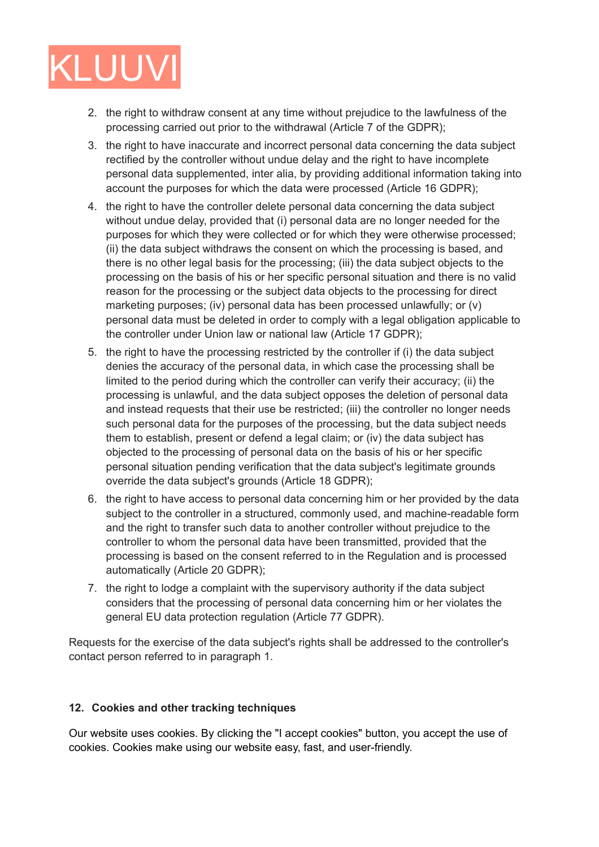

- 2. the right to withdraw consent at any time without prejudice to the lawfulness of the processing carried out prior to the withdrawal (Article 7 of the GDPR);
- 3. the right to have inaccurate and incorrect personal data concerning the data subject rectified by the controller without undue delay and the right to have incomplete personal data supplemented, inter alia, by providing additional information taking into account the purposes for which the data were processed (Article 16 GDPR);
- 4. the right to have the controller delete personal data concerning the data subject without undue delay, provided that (i) personal data are no longer needed for the purposes for which they were collected or for which they were otherwise processed; (ii) the data subject withdraws the consent on which the processing is based, and there is no other legal basis for the processing; (iii) the data subject objects to the processing on the basis of his or her specific personal situation and there is no valid reason for the processing or the subject data objects to the processing for direct marketing purposes; (iv) personal data has been processed unlawfully; or (v) personal data must be deleted in order to comply with a legal obligation applicable to the controller under Union law or national law (Article 17 GDPR);
- 5. the right to have the processing restricted by the controller if (i) the data subject denies the accuracy of the personal data, in which case the processing shall be limited to the period during which the controller can verify their accuracy; (ii) the processing is unlawful, and the data subject opposes the deletion of personal data and instead requests that their use be restricted; (iii) the controller no longer needs such personal data for the purposes of the processing, but the data subject needs them to establish, present or defend a legal claim; or (iv) the data subject has objected to the processing of personal data on the basis of his or her specific personal situation pending verification that the data subject's legitimate grounds override the data subject's grounds (Article 18 GDPR);
- 6. the right to have access to personal data concerning him or her provided by the data subject to the controller in a structured, commonly used, and machine-readable form and the right to transfer such data to another controller without prejudice to the controller to whom the personal data have been transmitted, provided that the processing is based on the consent referred to in the Regulation and is processed automatically (Article 20 GDPR);
- 7. the right to lodge a complaint with the supervisory authority if the data subject considers that the processing of personal data concerning him or her violates the general EU data protection regulation (Article 77 GDPR).

Requests for the exercise of the data subject's rights shall be addressed to the controller's contact person referred to in paragraph 1.

#### **12. Cookies and other tracking techniques**

Our website uses cookies. By clicking the "I accept cookies" button, you accept the use of cookies. Cookies make using our website easy, fast, and user-friendly.